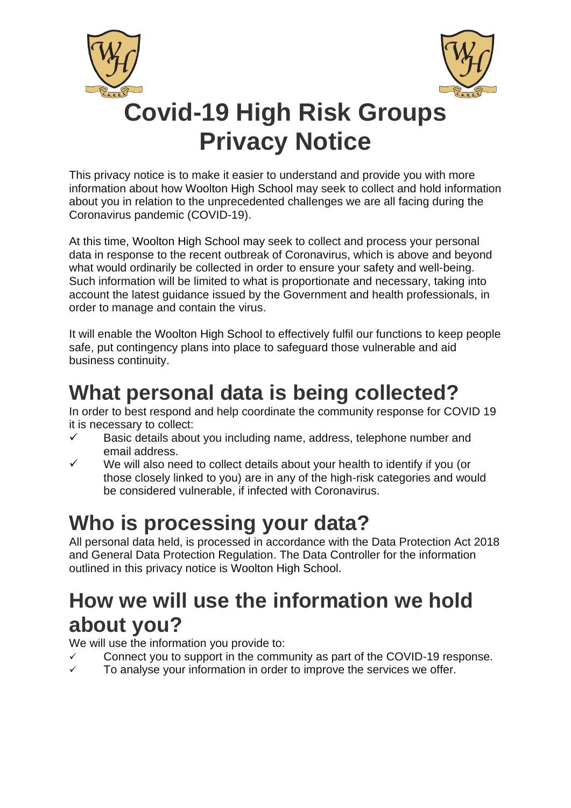



# **Covid-19 High Risk Groups Privacy Notice**

This privacy notice is to make it easier to understand and provide you with more information about how Woolton High School may seek to collect and hold information about you in relation to the unprecedented challenges we are all facing during the Coronavirus pandemic (COVID-19).

At this time, Woolton High School may seek to collect and process your personal data in response to the recent outbreak of Coronavirus, which is above and beyond what would ordinarily be collected in order to ensure your safety and well-being. Such information will be limited to what is proportionate and necessary, taking into account the latest guidance issued by the Government and health professionals, in order to manage and contain the virus.

It will enable the Woolton High School to effectively fulfil our functions to keep people safe, put contingency plans into place to safeguard those vulnerable and aid business continuity.

## **What personal data is being collected?**

In order to best respond and help coordinate the community response for COVID 19 it is necessary to collect:

- ✓ Basic details about you including name, address, telephone number and email address.
- We will also need to collect details about your health to identify if you (or those closely linked to you) are in any of the high-risk categories and would be considered vulnerable, if infected with Coronavirus.

# **Who is processing your data?**

All personal data held, is processed in accordance with the Data Protection Act 2018 and General Data Protection Regulation. The Data Controller for the information outlined in this privacy notice is Woolton High School.

### **How we will use the information we hold about you?**

We will use the information you provide to:

- Connect you to support in the community as part of the COVID-19 response.
- $\checkmark$  To analyse your information in order to improve the services we offer.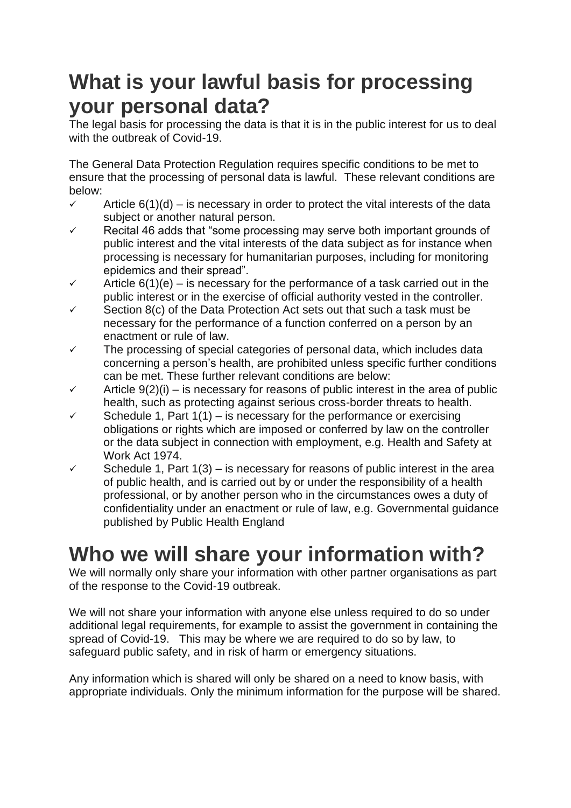#### **What is your lawful basis for processing your personal data?**

The legal basis for processing the data is that it is in the public interest for us to deal with the outbreak of Covid-19.

The General Data Protection Regulation requires specific conditions to be met to ensure that the processing of personal data is lawful. These relevant conditions are below:

- $\checkmark$  Article 6(1)(d) is necessary in order to protect the vital interests of the data subject or another natural person.
- ✓ Recital 46 adds that "some processing may serve both important grounds of public interest and the vital interests of the data subject as for instance when processing is necessary for humanitarian purposes, including for monitoring epidemics and their spread".
- $\checkmark$  Article 6(1)(e) is necessary for the performance of a task carried out in the public interest or in the exercise of official authority vested in the controller.
- Section 8(c) of the Data Protection Act sets out that such a task must be necessary for the performance of a function conferred on a person by an enactment or rule of law.
- $\checkmark$  The processing of special categories of personal data, which includes data concerning a person's health, are prohibited unless specific further conditions can be met. These further relevant conditions are below:
- $\checkmark$  Article 9(2)(i) is necessary for reasons of public interest in the area of public health, such as protecting against serious cross-border threats to health.
- Schedule 1, Part  $1(1)$  is necessary for the performance or exercising obligations or rights which are imposed or conferred by law on the controller or the data subject in connection with employment, e.g. Health and Safety at Work Act 1974.
- $\checkmark$  Schedule 1, Part 1(3) is necessary for reasons of public interest in the area of public health, and is carried out by or under the responsibility of a health professional, or by another person who in the circumstances owes a duty of confidentiality under an enactment or rule of law, e.g. Governmental guidance published by Public Health England

## **Who we will share your information with?**

We will normally only share your information with other partner organisations as part of the response to the Covid-19 outbreak.

We will not share your information with anyone else unless required to do so under additional legal requirements, for example to assist the government in containing the spread of Covid-19. This may be where we are required to do so by law, to safeguard public safety, and in risk of harm or emergency situations.

Any information which is shared will only be shared on a need to know basis, with appropriate individuals. Only the minimum information for the purpose will be shared.